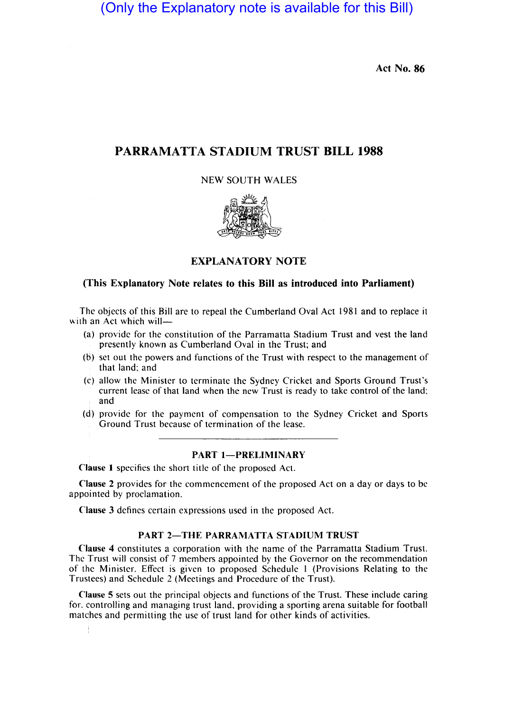(Only the Explanatory note is available for this Bill)

Act No. 86

# PARRAMATTA STADIUM TRUST **BILL** 1988

NEW SOUTH WALES



# EXPLANATORY NOTE

# (This Explanatory Note relates to this Bill as introduced into Parliament)

The objects of this Bill are to repeal the Cumberland Oval Act 1981 and to replace it with an Act which will-

- (a) provide for the constitution of the Parramatta Stadium Trust and vest the land presently known as Cumberland Oval in the Trust; and
- (b) set out the powers and functions of the Trust with respect to the management of that land; and
- (c) allow the Minister to terminate the Sydney Cricket and Sports Ground Trust's current lease of that land when the new Trust is ready to take control of the land; and
- (d) provide for the payment of compensation to the Sydney Cricket and Sports Ground Trust because of termination of the lease.

# PART 1-PRELIMINARY

Clause I specifies the short title of the proposed Act.

Clause 2 provides for the commencement of the proposed Act on a day or days to be appointed by proclamation.

Clause 3 defines certain expressions used in the proposed Act.

# PART 2-THE PARRAMATTA STADIUM TRUST

Clause 4 constitutes a corporation with the name of the Parramatta Stadium Trust. The Trust will consist of 7 members appointed by the Governor on the recommendation of the Minister. Effect is given to proposed Schedule 1 (Provisions Relating to the Trustees) and Schedule 2 (Meetings and Procedure of the Trust).

Clause 5 sets out the principal objects and functions of the Trust. These include caring for. controlling and managing trust land, providing a sporting arena suitable for football matches and permitting the use of trust land for other kinds of activities.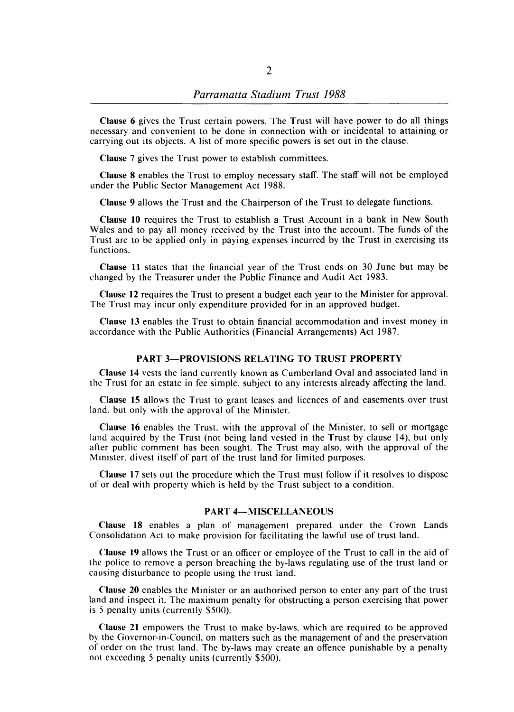Clause 6 gives the Trust certain powers. The Trust will have power to do all things necessary and convenient to be done in connection with or incidental to attaining or carrying out its objects. A list of more specific powers is set out in the clause.

Clause 7 gives the Trust power to establish committees.

Clause 8 enables the Trust to employ necessary staff. The staff will not be employed under the Public Sector Management Act 1988.

Clause 9 allows the Trust and the Chairperson of the Trust to delegate functions.

Clause 10 requires the Trust to establish a Trust Account in a bank in New South Wales and to pay all money received by the Trust into the account. The funds of the Trust are to be applied only in paying expenses incurred by the Trust in exercising its functions.

Clause II states that the financial year of the Trust ends on 30 June but may be changed by the Treasurer under the Public Finance and Audit Act 1983.

Clause 12 requires the Trust to present a budget each year to the Minister for approval. The Trust may incur only expenditure provided for in an approved budget.

Clause 13 enables the Trust to obtain financial accommodation and invest money in accordance with the Public Authorities (Financial Arrangements) Act 1987.

#### PART 3-PROVISIONS RELATING TO TRUST PROPERTY

Clause 14 vests the land currently known as Cumberland Oval and associated land in the Trust for an estate in fee simple, subject to any interests already affecting the land.

Clause 15 allows the Trust to grant leases and licences of and easements over trust land, but only with the approval of the Minister.

Clause 16 enables the Trust. with the approval of the Minister, to sell or mortgage land acquired by the Trust (not being land vested in the Trust by clause 14), but only after public comment has been sought. The Trust may also, with the approval of the Minister. divest itself of part of the trust land for limited purposes.

Clause 17 sets out the procedure which the Trust must follow if it resolves to dispose of or deal with property which is held by the Trust subject to a condition.

### PART 4-MISCELLANEOUS

Clause 18 enables a plan of management prepared under the Crown Lands Consolidation Act to make provision for facilitating the lawful use of trust land.

Clause 19 allows the Trust or an officer or employee of the Trust to call in the aid of the police to remove a person breaching the by-laws regulating use of the trust land or causing disturbance to people using the trust land.

Clause 20 enables the Minister or an authorised person to enter any part of the trust land and inspect it. The maximum penalty for obstructing a person exercising that power is 5 penalty units (currently \$500).

Clause 21 empowers the Trust to make by-laws, which are required to be approved by the Governor-in-Council. on matters such as the management of and the preservation of order on the trust land. The by-laws may create an offence punishable by a penalty not exceeding 5 penalty units (currently \$500).